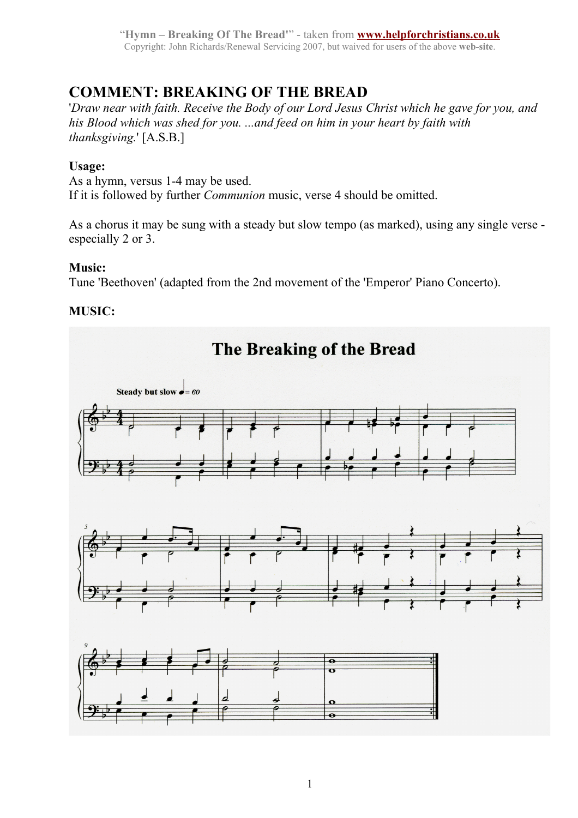"**Hymn – Breaking Of The Bread'**" - taken from **[www.helpforchristians.co.uk](http://www.helpforchristians.co.uk/)** Copyright: John Richards/Renewal Servicing 2007, but waived for users of the above **web-site**.

# **COMMENT: BREAKING OF THE BREAD**

'*Draw near with faith. Receive the Body of our Lord Jesus Christ which he gave for you, and his Blood which was shed for you. ...and feed on him in your heart by faith with thanksgiving.*' [A.S.B.]

### **Usage:**

As a hymn, versus 1-4 may be used. If it is followed by further *Communion* music, verse 4 should be omitted.

As a chorus it may be sung with a steady but slow tempo (as marked), using any single verse especially 2 or 3.

## **Music:**

Tune 'Beethoven' (adapted from the 2nd movement of the 'Emperor' Piano Concerto).

### **MUSIC:**